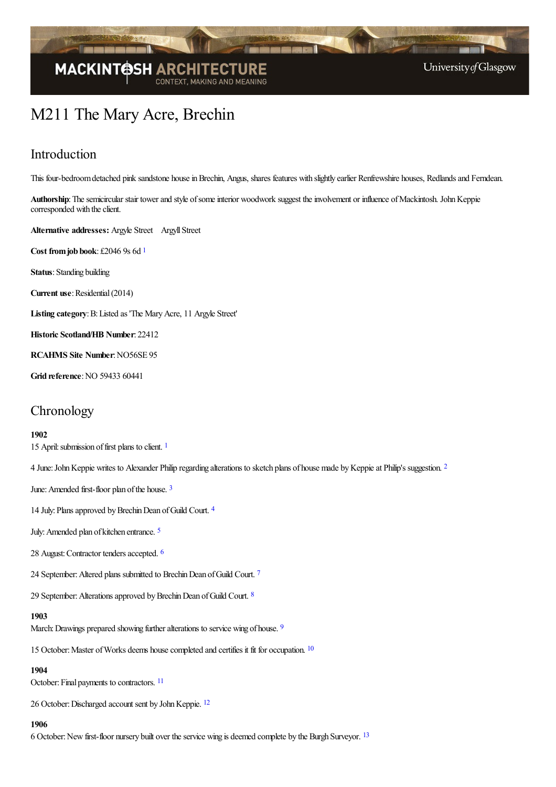

# M211 The Mary Acre, Brechin

### Introduction

This four-bedroom detached pink sandstone house in Brechin, Angus, shares features with slightly earlier Renfrewshire houses, Redlands and Ferndean.

Authorship: The semicircular stair tower and style of some interior woodwork suggest the involvement or influence of Mackintosh. John Keppie corresponded with the client.

Alternative addresses: Argyle Street Argyll Street

<span id="page-0-0"></span>**Cost fromjob book**: £2046 9s 6d [1](#page-6-0)

**Status**: Standing building

**Current use:** Residential (2014)

Listing category: B: Listed as 'The Mary Acre, 11 Argyle Street'

**Historic Scotland/HB Number**: 22412

**RCAHMS Site Number**:NO56SE 95

**Grid reference: NO 59433 60441** 

### **Chronology**

#### **1902**

<span id="page-0-2"></span><span id="page-0-1"></span>[1](#page-6-1)5 April: submission of first plans to client. 1

4 June: John Keppie writes to Alexander Philip regarding alterations to sketch plans of house made by Keppie at Philip's suggestion. <sup>[2](#page-6-2)</sup>

<span id="page-0-3"></span>June: Amended first-floor plan of the house. [3](#page-6-3)

<span id="page-0-4"></span>1[4](#page-6-4) July: Plans approved by Brechin Dean of Guild Court. 4

<span id="page-0-5"></span>July:Amended plan of kitchen entrance. [5](#page-6-5)

<span id="page-0-6"></span>28 August: Contractor tenders accepted. [6](#page-6-6)

<span id="page-0-7"></span>24 September: Altered plans submitted to Brechin Dean of Guild Court.<sup>[7](#page-6-7)</sup>

29 September: Alterations approved by Brechin Dean of Guild Court. [8](#page-7-0)

#### <span id="page-0-9"></span><span id="page-0-8"></span>**1903**

March: Drawings prepared showing further alterations to service wing of house. <sup>[9](#page-7-1)</sup>

<span id="page-0-10"></span>15 October: Master of Works deems house completed and certifies it fit for occupation. <sup>[10](#page-7-2)</sup>

#### <span id="page-0-11"></span>**1904**

October: Final payments to contractors. <sup>[11](#page-7-3)</sup>

<span id="page-0-12"></span>26 October: Discharged account sent by John Keppie. <sup>[12](#page-7-4)</sup>

#### <span id="page-0-13"></span>**1906**

6 October: New first-floor nursery built over the service wing is deemed complete by the Burgh Surveyor. [13](#page-7-5)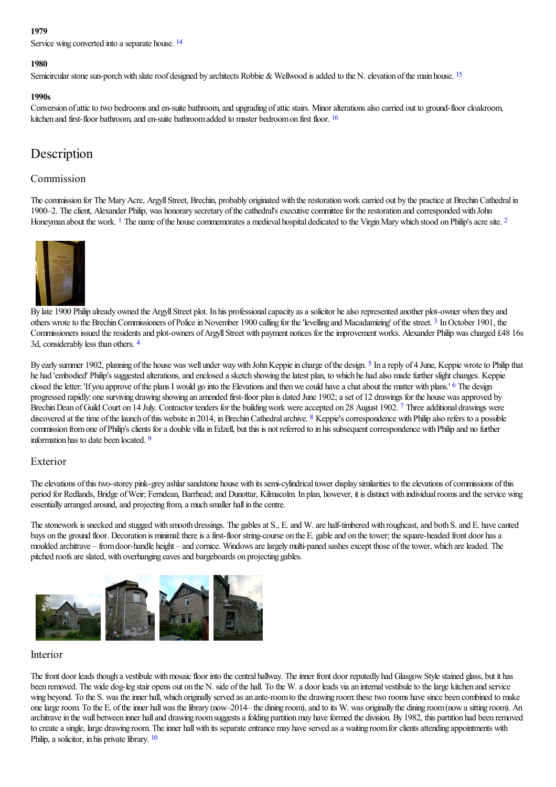#### **1979**

<span id="page-1-0"></span>Service wing converted into a separate house. <sup>[14](#page-7-6)</sup>

#### <span id="page-1-1"></span>**1980**

Semicircular stone sun-porch with slate roof designed by architects Robbie & Wellwood is added to the N. elevation of the main house. <sup>[15](#page-7-7)</sup>

#### <span id="page-1-2"></span>**1990s**

Conversion of attic to two bedrooms and en-suite bathroom, and upgrading of attic stairs. Minor alterations also carried out to ground-floor cloakroom, kitchen and first-floor bathroom, and en-suite bathroom added to master bedroom on first floor. <sup>[16](#page-7-8)</sup>

### Description

### Commission

The commission for The Mary Acre, Argyll Street, Brechin, probably originated with the restoration work carried out by the practice at Brechin Cathedral in 1900–2. The client, Alexander Philip, was honorary secretary of the cathedral's executive committee for the restoration and corresponded with John Honeyman about the work. <sup>[1](#page-7-9)</sup> The name of the house commemorates a medieval hospital dedicated to the Virgin Mary which stood on Philip's acre site. <sup>[2](#page-7-10)</sup>

<span id="page-1-4"></span><span id="page-1-3"></span>

<span id="page-1-5"></span>By late [1900](http://www.mackintosh-architecture.gla.ac.uk/catalogue/images/?filename=c207_018) Philip already owned the Argyll Street plot. In his professional capacity as a solicitor he also represented another plot-owner when they and others wrote to the Brechin Commissioners of Police in November 1900 calling for the 'levelling and Macadamizing' of the street. <sup>[3](#page-7-11)</sup> In October 1901, the Commissioners issued the residents and plot-owners of Argyll Street with payment notices for the improvement works. Alexander Philip was charged £48 16s 3d, considerably less than others. [4](#page-7-12)

<span id="page-1-9"></span><span id="page-1-8"></span><span id="page-1-7"></span><span id="page-1-6"></span>By early summer 1902, planning of the house was well under way with John Keppie in charge of the design. <sup>[5](#page-7-13)</sup> In a reply of 4 June, Keppie wrote to Philip that he had 'embodied' Philip's suggested alterations, and enclosed a sketch showing the latest plan, to which he had also made further slight changes. Keppie closed the letter: 'If you approve of the plans I would go into the Elevations and then we could have a chat about the matter with plans.' <sup>[6](#page-7-14)</sup> The design progressed rapidly: one surviving drawing showing an amended first-floor plan is dated June 1902; a set of 12 drawings for the house was approved by Brechin Dean of Guild Court on 14 July. Contractor tenders for the building work were accepted on 28 August 1902. [7](#page-7-15) Three additional drawings were discovered at the time of the launch of this website in 2014, in Brechin Cathedral archive. <sup>[8](#page-7-16)</sup> Keppie's correspondence with Philip also refers to a possible commission from one of Philip's clients for a double villa in Edzell, but this is not referred to in his subsequent correspondence with Philip and no further information has to date been located. [9](#page-7-17)

### <span id="page-1-11"></span><span id="page-1-10"></span>Exterior

The elevations of this two-storey pink-grey ashlar sandstone house with its semi-cylindrical tower display similarities to the elevations of commissions of this period for Redlands, Bridge of Weir; Ferndean, Barrhead; and Dunottar, Kilmacolm. In plan, however, it is distinct with individual rooms and the service wing essentially arranged around, and projecting from, a much smaller hall in the centre.

The stonework is snecked and stugged with smooth dressings. The gables at S., E. and W. are half-timbered with roughcast, and both S. and E. have canted bays on the ground floor. Decoration is minimal: there is a first-floor string-course on the E. gable and on the tower; the square-headed front door has a moulded architrave – from door-handle height – and cornice. Windows are largely multi-paned sashes except those of the tower, which are leaded. The pitched roofs are slated, with overhanging eaves and bargeboards on projecting gables.



### Interior

<span id="page-1-12"></span>The front door leads though a vestibule with mosaic floor into the central hallway. The inner front door reputedly had Glasgow Style stained glass, but it has been removed. The wide dog-leg stair opens out on the N. side of the hall. To the W. a door leads via an internal vestibule to the large kitchen and service wing beyond. To the S. was the inner hall, which originally served as an ante-room to the drawing room: these two rooms have since been combined to make one large room. To the E. of the inner hall was the library (now–2014– the dining room), and to its W. was originally the dining room (now a sitting room). An architrave in the wall between inner hall and drawing room suggests a folding partition may have formed the division. By 1982, this partition had been removed to create a single, large drawing room. The inner hall with its separate entrance may have served as a waiting room for clients attending appointments with Philip, a solicitor, in his private library.  $10$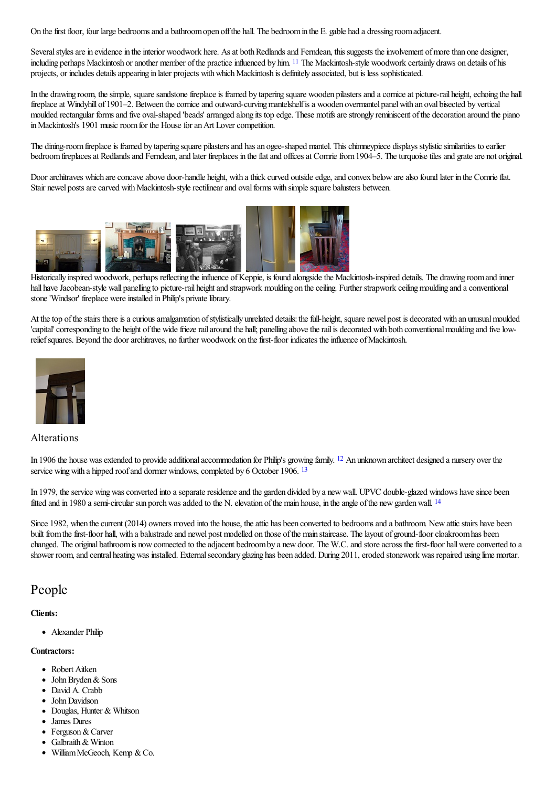On the first floor, four large bedrooms and a bathroom open off the hall. The bedroom in the E. gable had a dressing room adjacent.

<span id="page-2-0"></span>Several styles are in evidence in the interior woodwork here. As at both Redlands and Ferndean, this suggests the involvement of more than one designer, including perhaps Mackintosh or another member of the practice influenced by him. <sup>[11](#page-7-19)</sup> The Mackintosh-style woodwork certainly draws on details of his projects, or includes details appearing in later projects with which Mackintosh is definitely associated, but is less sophisticated.

In the drawing room, the simple, square sandstone fireplace is framed by tapering square wooden pilasters and a cornice at picture-rail height, echoing the hall fireplace at Windyhill of 1901–2. Between the cornice and outward-curving mantelshelf is a wooden overmantel panel with an oval bisected by vertical moulded rectangular forms and five oval-shaped 'beads' arranged along its top edge. These motifs are strongly reminiscent of the decoration around the piano in Mackintosh's 1901 music room for the House for an Art Lover competition.

The dining-room fireplace is framed by tapering square pilasters and has an ogee-shaped mantel. This chimneypiece displays stylistic similarities to earlier bedroom fireplaces at Redlands and Ferndean, and later fireplaces in the flat and offices at Comrie from 1904–5. The turquoise tiles and grate are not original.

Door architraves which are concave above door-handle height, with a thick curved outside edge, and convex below are also found later in the Comrie flat. Stair newel posts are carved with Mackintosh-style rectilinear and oval forms with simple square balusters between.



[Historically](http://www.mackintosh-architecture.gla.ac.uk/catalogue/images/?filename=c207_007) inspired w[oodwork,](http://www.mackintosh-architecture.gla.ac.uk/catalogue/images/?filename=c207_009) perhaps reflecting the influence of [Keppie,](http://www.mackintosh-architecture.gla.ac.uk/catalogue/images/?filename=c207_011) is found alongside the Mackintosh-inspired details. The drawing room and inner hall have Jacobean-style wall panelling to picture-rail height and strapwork moulding on the ceiling. Further strapwork ceiling moulding and a conventional stone 'Windsor' fireplace were installed in Philip's private library.

At the top of the stairs there is a curious amalgamation of stylistically unrelated details: the full-height, square newel post is decorated with an unusual moulded 'capital' corresponding to the height of the wide frieze rail around the hall; panelling above the rail is decorated with both conventional moulding and five lowrelief squares. Beyond the door architraves, no further woodwork on the first-floor indicates the influence of Mackintosh.



### <span id="page-2-1"></span>Alterations

<span id="page-2-2"></span>In 1906 the house was extended to provide additional accommodation for Philip's growing family. <sup>[12](#page-7-20)</sup> An unknown architect designed a nursery over the service wing with a hipped roof and dormer windows, completed by 6 October 1906. <sup>[13](#page-7-21)</sup>

<span id="page-2-3"></span>In 1979, the service wing was converted into a separate residence and the garden divided by a new wall. UPVC double-glazed windows have since been fitted and in 1980 a semi-circular sun porch was added to the N. elevation of the main house, in the angle of the new garden wall. <sup>[14](#page-7-22)</sup>

Since 1982, when the current (2014) owners moved into the house, the attic has been converted to bedrooms and a bathroom. New attic stairs have been built from the first-floor hall, with a balustrade and newel post modelled on those of the main staircase. The layout of ground-floor cloakroom has been changed. The original bathroom is now connected to the adjacent bedroom by a new door. The W.C. and store across the first-floor hall were converted to a shower room, and central heating was installed. External secondary glazing has been added. During 2011, eroded stonework was repaired using lime mortar.

### People

### **Clients:**

• Alexander Philip

### **Contractors:**

- Robert Aitken
- $\bullet$  John Bryden & Sons
- David A. Crabb
- John Davidson
- Douglas, Hunter & Whitson
- James Dures
- Ferguson & Carver
- Galbraith& Winton
- William McGeoch, Kemp & Co.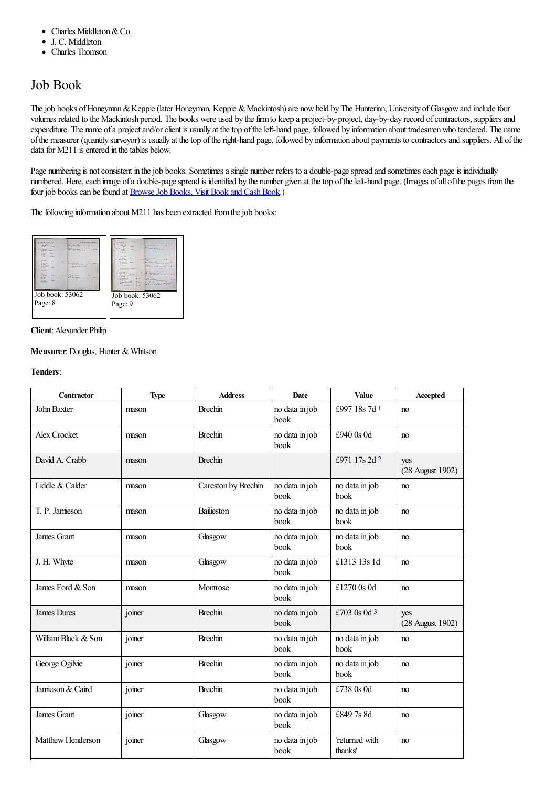- Charles Middleton&Co.  $\bullet$
- J. C. Middleton  $\bullet$
- Charles Thomson

### Job Book

The job books of Honeyman & Keppie (later Honeyman, Keppie & Mackintosh) are now held by The Hunterian, University of Glasgow and include four volumes related to the Mackintosh period. The books were used by the firm to keep a project-by-project, day-by-day record of contractors, suppliers and expenditure. The name of a project and/or client is usually at the top of the left-hand page, followed by information about tradesmen who tendered. The name ofthe measurer (quantity surveyor) is usually at thetop oftheright-hand page, followed by information about payments to contractorsand suppliers. All ofthe data for M211 is entered in the tables below.

Page numbering is not consistent in the job books. Sometimes a single number refers to a double-page spread and sometimes each page is individually numbered. Here, each image of a double-page spread is identified by the number given at the top of the left-hand page. (Images of all of the pages from the four job books can be found at Browse Job Books, Visit Book and Cash Book.)

The following information about M211 has been extracted from the job books:



#### **Client**:Alexander Philip

### **Measurer: Douglas, Hunter & Whitson**

### **Tenders**:

<span id="page-3-2"></span><span id="page-3-1"></span><span id="page-3-0"></span>

| <b>Contractor</b>   | <b>Type</b> | <b>Address</b>      | Date                   | Value                     | Accepted                |
|---------------------|-------------|---------------------|------------------------|---------------------------|-------------------------|
| John Baxter         | mason       | <b>Brechin</b>      | no data in job<br>book | £997 18s 7d 1             | no                      |
| Alex Crocket        | mason       | <b>Brechin</b>      | no data in job<br>book | £940 0s 0d                | no                      |
| David A. Crabb      | mason       | <b>Brechin</b>      |                        | £971 17s 2d 2             | yes<br>(28 August 1902) |
| Liddle & Calder     | mason       | Careston by Brechin | no data in job<br>book | no data in job<br>book    | no                      |
| T. P. Jamieson      | mason       | Bailieston          | no data in job<br>book | no data in job<br>book    | no                      |
| James Grant         | mason       | Glasgow             | no data in job<br>book | no data in job<br>book    | no                      |
| J. H. Whyte         | mason       | Glasgow             | no data in job<br>book | £1313 13s 1d              | no                      |
| James Ford & Son    | mason       | Montrose            | no data in job<br>book | £1270 0s 0d               | no                      |
| <b>James Dures</b>  | joiner      | <b>Brechin</b>      | no data in job<br>book | £703 0s 0d $3$            | yes<br>(28 August 1902) |
| William Black & Son | joiner      | <b>Brechin</b>      | no data in job<br>book | no data in job<br>book    | n <sub>0</sub>          |
| George Ogilvie      | joiner      | <b>Brechin</b>      | no data in job<br>book | no data in job<br>book    | no                      |
| Jamieson & Caird    | joiner      | <b>Brechin</b>      | no data in job<br>book | £738 0s 0d                | no                      |
| James Grant         | joiner      | Glasgow             | no data in job<br>book | £8497s8d                  | no                      |
| Matthew Henderson   | joiner      | Glasgow             | no data in job<br>book | 'returned with<br>thanks' | no                      |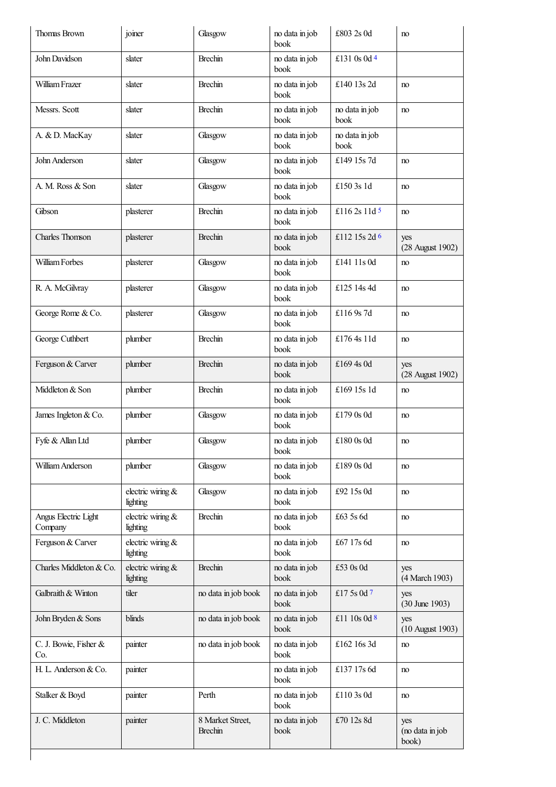<span id="page-4-4"></span><span id="page-4-3"></span><span id="page-4-2"></span><span id="page-4-1"></span><span id="page-4-0"></span>

| Thomas Brown                    | joiner                        | Glasgow                            | no data in job<br>book | £803 2s 0d             | no                              |
|---------------------------------|-------------------------------|------------------------------------|------------------------|------------------------|---------------------------------|
| John Davidson                   | slater                        | <b>Brechin</b>                     | no data in job<br>book | £131 0s 0d 4           |                                 |
| William Frazer                  | slater                        | <b>Brechin</b>                     | no data in job<br>book | £140 13s 2d            | no                              |
| Messrs. Scott                   | slater                        | <b>Brechin</b>                     | no data in job<br>book | no data in job<br>book | no                              |
| A. & D. MacKay                  | slater                        | Glasgow                            | no data in job<br>book | no data in job<br>book |                                 |
| John Anderson                   | slater                        | Glasgow                            | no data in job<br>book | £149 15s 7d            | no                              |
| A. M. Ross & Son                | slater                        | Glasgow                            | no data in job<br>book | £150 3s 1d             | no                              |
| Gibson                          | plasterer                     | <b>Brechin</b>                     | no data in job<br>book | £116 2s 11d 5          | no                              |
| Charles Thomson                 | plasterer                     | <b>Brechin</b>                     | no data in job<br>book | £112 15s 2d $6$        | yes<br>(28 August 1902)         |
| William Forbes                  | plasterer                     | Glasgow                            | no data in job<br>book | £141 11s 0d            | no                              |
| R. A. McGilvray                 | plasterer                     | Glasgow                            | no data in job<br>book | £125 14s 4d            | no                              |
| George Rome & Co.               | plasterer                     | Glasgow                            | no data in job<br>book | £116 9s 7d             | no                              |
| George Cuthbert                 | plumber                       | <b>Brechin</b>                     | no data in job<br>book | £176 4s 11d            | no                              |
| Ferguson & Carver               | plumber                       | <b>Brechin</b>                     | no data in job<br>book | £169 4s 0d             | yes<br>(28 August 1902)         |
| Middleton & Son                 | plumber                       | <b>Brechin</b>                     | no data in job<br>book | £169 15s 1d            | no                              |
| James Ingleton & Co.            | plumber                       | Glasgow                            | no data in job<br>book | £179 0s 0d             | no                              |
| Fyfe & Allan Ltd                | plumber                       | Glasgow                            | no data in job<br>book | £180 0s 0d             | no                              |
| William Anderson                | plumber                       | Glasgow                            | no data in job<br>book | £1890s0d               | no                              |
|                                 | electric wiring &<br>lighting | Glasgow                            | no data in job<br>book | £92 15s 0d             | no                              |
| Angus Electric Light<br>Company | electric wiring &<br>lighting | <b>Brechin</b>                     | no data in job<br>book | £63 5s 6d              | no                              |
| Ferguson & Carver               | electric wiring &<br>lighting |                                    | no data in job<br>book | £67 17s 6d             | no                              |
| Charles Middleton & Co.         | electric wiring &<br>lighting | <b>Brechin</b>                     | no data in job<br>book | £53 0s 0d              | yes<br>(4 March 1903)           |
| Galbraith & Winton              | tiler                         | no data in job book                | no data in job<br>book | £17 5s 0d 7            | yes<br>$(30$ June 1903)         |
| John Bryden & Sons              | blinds                        | no data in job book                | no data in job<br>book | £11 10s 0d 8           | yes<br>(10 August 1903)         |
| C. J. Bowie, Fisher &<br>Co.    | painter                       | no data in job book                | no data in job<br>book | £162 16s 3d            | no                              |
| H. L. Anderson & Co.            | painter                       |                                    | no data in job<br>book | £137 17s 6d            | no                              |
| Stalker & Boyd                  | painter                       | Perth                              | no data in job<br>book | £110 3s 0d             | no                              |
| J. C. Middleton                 | painter                       | 8 Market Street,<br><b>Brechin</b> | no data in job<br>book | £70 12s 8d             | yes<br>(no data in job<br>book) |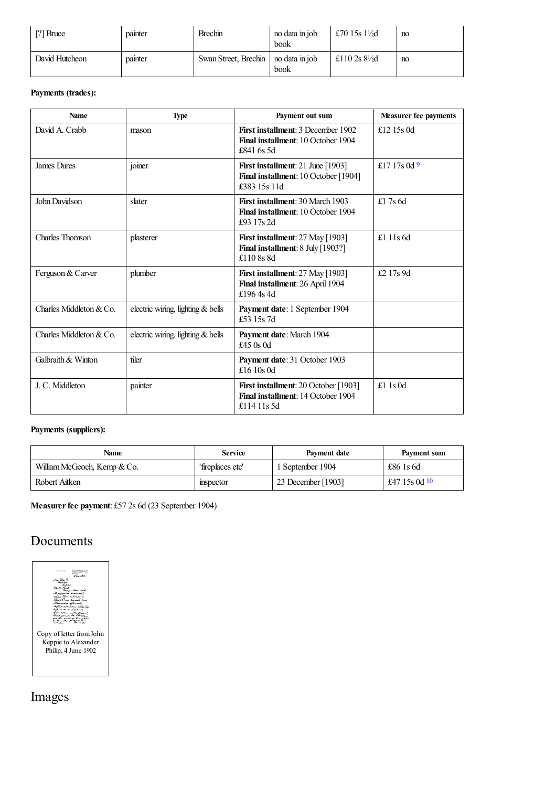| $\mid$ [?] Bruce | painter | <b>Brechin</b>                        | no data in job<br>book | £70 15s $1\frac{1}{2}$ d | no |
|------------------|---------|---------------------------------------|------------------------|--------------------------|----|
| David Hutcheon   | pamter  | Swan Street, Brechin   no data in job | book                   | £110 2s $8\frac{1}{2}$ d | no |

### **Payments (trades):**

<span id="page-5-0"></span>

| <b>Name</b>             | <b>Type</b>                       | Payment out sum                                                                             | <b>Measurer fee payments</b> |
|-------------------------|-----------------------------------|---------------------------------------------------------------------------------------------|------------------------------|
| David A. Crabb          | mason                             | First installment: 3 December 1902<br>Final installment: 10 October 1904<br>£841 6s 5d      | £12 15s 0d                   |
| <b>James Dures</b>      | joiner                            | First installment: 21 June [1903]<br>Final installment: 10 October [1904]<br>£383 15s 11d   | £17 17s 0d 9                 |
| John Davidson           | slater                            | <b>First installment: 30 March 1903</b><br>Final installment: 10 October 1904<br>£93 17s 2d | £1.7s $6d$                   |
| Charles Thomson         | plasterer                         | First installment: 27 May [1903]<br>Final installment: 8 July [1903?]<br>£110 8s 8d         | £1 11s $6d$                  |
| Ferguson & Carver       | plumber                           | First installment: 27 May [1903]<br>Final installment: 26 April 1904<br>£1964s4d            | £2 17s 9d                    |
| Charles Middleton & Co. | electric wiring, lighting & bells | Payment date: 1 September 1904<br>£53 15s 7d                                                |                              |
| Charles Middleton & Co. | electric wiring, lighting & bells | Payment date: March 1904<br>£45 $0s$ 0d                                                     |                              |
| Galbraith & Winton      | tiler                             | Payment date: 31 October 1903<br>£16 10s 0d                                                 |                              |
| J. C. Middleton         | painter                           | First installment: 20 October [1903]<br>Final installment: 14 October 1904<br>£114 11s 5d   | £1 1s $0d$                   |

### **Payments (suppliers):**

<span id="page-5-1"></span>

| Name                        | <b>Service</b>   | Payment date       | Payment sum     |
|-----------------------------|------------------|--------------------|-----------------|
| William McGeoch, Kemp & Co. | 'fireplaces etc' | 1 September 1904   | £86 1s 6d       |
| Robert Aitken               | mspector         | 23 December [1903] | £47 15s 0d $10$ |

**Measurerfee payment**: £57 2s 6d (23 September 1904)

### Documents

| ina addunch<br>د ستر د .            |
|-------------------------------------|
| الأستراك حبيطا<br>raar akaa soola   |
| the above an other to<br>an had and |
| a sul ca. d                         |
|                                     |
|                                     |
| Copy of letter from John            |
| Keppie to Alexander                 |
|                                     |
| Philip, 4 June 1902                 |
|                                     |
|                                     |
|                                     |
|                                     |

Images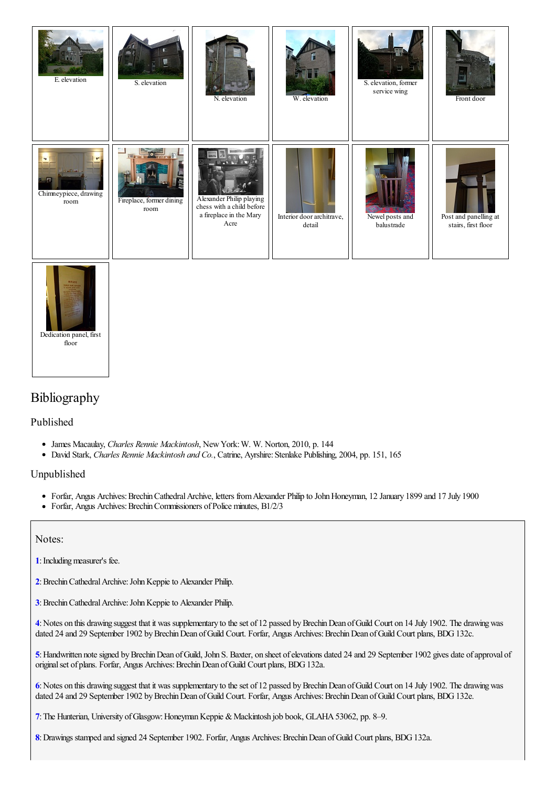| E. elevation                                | S. elevation                     | N. elevation                                                                             | W. elevation                        | S. elevation, former<br>service wing | Front door                                   |
|---------------------------------------------|----------------------------------|------------------------------------------------------------------------------------------|-------------------------------------|--------------------------------------|----------------------------------------------|
| Get Direct<br>Chimneypiece, drawing<br>room | Fireplace, former dining<br>room | Alexander Philip playing<br>chess with a child before<br>a fireplace in the Mary<br>Acre | Interior door architrave,<br>detail | Newel posts and<br>balustrade        | Post and panelling at<br>stairs, first floor |



### Bibliography

### Published

- James Macaulay, *Charles Rennie Mackintosh*, NewYork:W. W. Norton, 2010, p. 144
- David Stark, *Charles Rennie Mackintosh and Co.*, Catrine, Ayrshire:Stenlake Publishing, 2004, pp. 151, 165

Unpublished

- Forfar, Angus Archives: Brechin Cathedral Archive, letters from Alexander Philip to John Honeyman, 12 January 1899 and 17 July 1900
- Forfar, Angus Archives: Brechin Commissioners of Police minutes, B1/2/3

Notes:

<span id="page-6-0"></span>**[1](#page-0-0)**: Including measurer's fee.

- <span id="page-6-1"></span>[2](#page-0-1): Brechin Cathedral Archive: John Keppie to Alexander Philip.
- <span id="page-6-2"></span>**[3](#page-0-2)**: Brechin Cathedral Archive: John Keppie to Alexander Philip.

<span id="page-6-3"></span>**[4](#page-0-3)**:Notes on this drawing suggest that it was supplementary to theset of 12 passed byBrechinDean ofGuild Court on 14 July 1902. The drawingwas dated 24 and 29 September 1902 by Brechin Dean of Guild Court. Forfar, Angus Archives: Brechin Dean of Guild Court plans, BDG 132c.

<span id="page-6-4"></span>**[5](#page-0-4)**:Handwritten notesigned byBrechinDean ofGuild, John S. Baxter, on sheet ofelevations dated 24 and 29 September 1902 gives date ofapproval of original set of plans. Forfar, Angus Archives: Brechin Dean of Guild Court plans, BDG 132a.

<span id="page-6-5"></span>[6](#page-0-5): Notes on this drawing suggest that it was supplementary to the set of 12 passed by Brechin Dean of Guild Court on 14 July 1902. The drawing was dated 24 and 29 September 1902 by Brechin Dean of Guild Court. Forfar, Angus Archives: Brechin Dean of Guild Court plans, BDG 132e.

<span id="page-6-6"></span>[7](#page-0-6): The Hunterian, University of Glasgow: Honeyman Keppie & Mackintosh job book, GLAHA 53062, pp. 8–9.

<span id="page-6-7"></span>[8](#page-0-7): Drawings stamped and signed 24 September 1902. Forfar, Angus Archives: Brechin Dean of Guild Court plans, BDG 132a.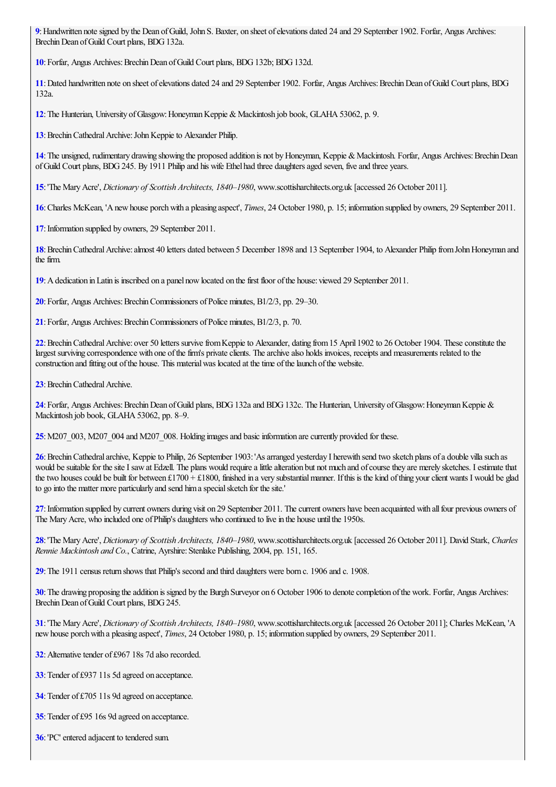<span id="page-7-0"></span>:Handwritten notesigned by the Dean ofGuild, John S. Baxter, on sheet ofelevations dated 24 and 29 September 1902. Forfar, Angus Archives: Brechin Dean of Guild Court plans, BDG 132a.

<span id="page-7-1"></span>: Forfar, Angus Archives: Brechin Dean of Guild Court plans, BDG 132b; BDG 132d.

<span id="page-7-2"></span>: Dated handwritten note on sheet of elevations dated 24 and 29 September 1902. Forfar, Angus Archives: Brechin Dean of Guild Court plans, BDG 132a.

<span id="page-7-3"></span>: The Hunterian, University of Glasgow: Honeyman Keppie & Mackintosh job book, GLAHA 53062, p. 9.

<span id="page-7-4"></span>: Brechin Cathedral Archive: John Keppie to Alexander Philip.

<span id="page-7-5"></span>: The unsigned, rudimentary drawing showing the proposed addition is not by Honeyman, Keppie & Mackintosh. Forfar, Angus Archives: Brechin Dean of Guild Court plans, BDG 245. By 1911 Philip and his wife Ethel had three daughters aged seven, five and three years.

<span id="page-7-6"></span>:'The MaryAcre', *Dictionary of Scottish Architects, 1840–1980*, www.scottisharchitects.org.uk [accessed 26 October 2011].

<span id="page-7-7"></span>:Charles McKean, 'Anewhouse porchwith a pleasing aspect', *Times*, 24 October 1980, p. 15; information supplied by owners, 29 September 2011.

<span id="page-7-8"></span>: Information supplied by owners, 29 September 2011.

<span id="page-7-9"></span>: Brechin Cathedral Archive: almost 40 letters dated between 5 December 1898 and 13 September 1904, to Alexander Philip from John Honeyman and the firm.

<span id="page-7-10"></span>:Adedication inLatin is inscribed on a panel nowlocated on thefirst floor ofthe house: viewed 29 September 2011.

<span id="page-7-11"></span>: Forfar, Angus Archives: Brechin Commissioners of Police minutes, B1/2/3, pp. 29–30.

<span id="page-7-12"></span>: Forfar, Angus Archives: Brechin Commissioners of Police minutes, B1/2/3, p. 70.

<span id="page-7-13"></span>: Brechin Cathedral Archive: over 50 letters survive from Keppie to Alexander, dating from 15 April 1902 to 26 October 1904. These constitute the largest surviving correspondence with one of the firm's private clients. The archive also holds invoices, receipts and measurements related to the construction and fitting out of the house. This material was located at the time of the launch of the website.

<span id="page-7-14"></span>: Brechin Cathedral Archive.

<span id="page-7-15"></span>: Forfar, Angus Archives: Brechin Dean of Guild plans, BDG 132a and BDG 132c. The Hunterian, University of Glasgow: Honeyman Keppie & Mackintosh job book, GLAHA 53062, pp. 8–9.

<span id="page-7-16"></span>: M207\_003, M207\_004 and M207\_008. Holding images and basic information are currently provided for these.

<span id="page-7-17"></span>: Brechin Cathedral archive, Keppie to Philip, 26 September 1903: 'As arranged yesterday I herewith send two sketch plans of a double villa such as would be suitable for the site I saw at Edzell. The plans would require a little alteration but not much and of course they are merely sketches. I estimate that the two houses could be built for between £1700 + £1800, finished in a very substantial manner. If this is the kind of thing your client wants I would be glad to go into the matter more particularly and send him a special sketch for the site.'

<span id="page-7-18"></span>: Information supplied by current owners during visit on 29 September 2011. The current owners have been acquainted with all four previous owners of The Mary Acre, who included one of Philip's daughters who continued to live in the house until the 1950s.

<span id="page-7-19"></span>:'The MaryAcre', *Dictionary of Scottish Architects, 1840–1980*, www.scottisharchitects.org.uk [accessed 26 October 2011]. David Stark, *Charles Rennie Mackintosh and Co.*, Catrine, Ayrshire: Stenlake Publishing, 2004, pp. 151, 165.

<span id="page-7-20"></span>:The 1911 census return shows that Philip's second and third daughters were born c. 1906 and c. 1908.

<span id="page-7-21"></span>: The drawing proposing the addition is signed by the Burgh Surveyor on 6 October 1906 to denote completion of the work. Forfar, Angus Archives: Brechin Dean of Guild Court plans, BDG 245.

<span id="page-7-22"></span>:'The MaryAcre', *Dictionary of Scottish Architects, 1840–1980*, www.scottisharchitects.org.uk [accessed 26 October 2011]; Charles McKean, 'A newhouse porchwith a pleasing aspect', *Times*, 24 October 1980, p. 15; information supplied by owners, 29 September 2011.

<span id="page-7-23"></span>: Alternative tender of £967 18s 7d also recorded.

<span id="page-7-24"></span>: Tender of £937 11s 5d agreed on acceptance.

<span id="page-7-25"></span>: Tender of £705 11s 9d agreed on acceptance.

<span id="page-7-26"></span>: Tender of £95 16s 9d agreed on acceptance.

<span id="page-7-27"></span>:'PC' entered adjacent to tendered sum.